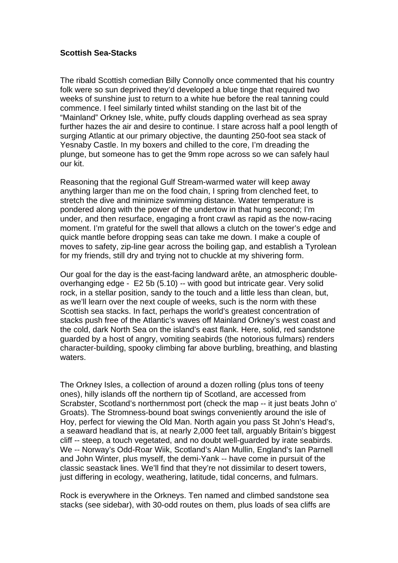## **Scottish Sea-Stacks**

The ribald Scottish comedian Billy Connolly once commented that his country folk were so sun deprived they'd developed a blue tinge that required two weeks of sunshine just to return to a white hue before the real tanning could commence. I feel similarly tinted whilst standing on the last bit of the "Mainland" Orkney Isle, white, puffy clouds dappling overhead as sea spray further hazes the air and desire to continue. I stare across half a pool length of surging Atlantic at our primary objective, the daunting 250-foot sea stack of Yesnaby Castle. In my boxers and chilled to the core, I'm dreading the plunge, but someone has to get the 9mm rope across so we can safely haul our kit.

Reasoning that the regional Gulf Stream-warmed water will keep away anything larger than me on the food chain, I spring from clenched feet, to stretch the dive and minimize swimming distance. Water temperature is pondered along with the power of the undertow in that hung second; I'm under, and then resurface, engaging a front crawl as rapid as the now-racing moment. I'm grateful for the swell that allows a clutch on the tower's edge and quick mantle before dropping seas can take me down. I make a couple of moves to safety, zip-line gear across the boiling gap, and establish a Tyrolean for my friends, still dry and trying not to chuckle at my shivering form.

Our goal for the day is the east-facing landward arête, an atmospheric doubleoverhanging edge - E2 5b (5.10) -- with good but intricate gear. Very solid rock, in a stellar position, sandy to the touch and a little less than clean, but, as we'll learn over the next couple of weeks, such is the norm with these Scottish sea stacks. In fact, perhaps the world's greatest concentration of stacks push free of the Atlantic's waves off Mainland Orkney's west coast and the cold, dark North Sea on the island's east flank. Here, solid, red sandstone guarded by a host of angry, vomiting seabirds (the notorious fulmars) renders character-building, spooky climbing far above burbling, breathing, and blasting waters.

The Orkney Isles, a collection of around a dozen rolling (plus tons of teeny ones), hilly islands off the northern tip of Scotland, are accessed from Scrabster, Scotland's northernmost port (check the map -- it just beats John o' Groats). The Stromness-bound boat swings conveniently around the isle of Hoy, perfect for viewing the Old Man. North again you pass St John's Head's, a seaward headland that is, at nearly 2,000 feet tall, arguably Britain's biggest cliff -- steep, a touch vegetated, and no doubt well-guarded by irate seabirds. We -- Norway's Odd-Roar Wiik, Scotland's Alan Mullin, England's Ian Parnell and John Winter, plus myself, the demi-Yank -- have come in pursuit of the classic seastack lines. We'll find that they're not dissimilar to desert towers, just differing in ecology, weathering, latitude, tidal concerns, and fulmars.

Rock is everywhere in the Orkneys. Ten named and climbed sandstone sea stacks (see sidebar), with 30-odd routes on them, plus loads of sea cliffs are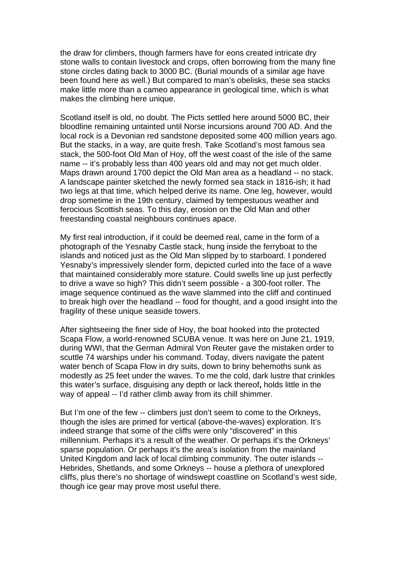the draw for climbers, though farmers have for eons created intricate dry stone walls to contain livestock and crops, often borrowing from the many fine stone circles dating back to 3000 BC. (Burial mounds of a similar age have been found here as well.) But compared to man's obelisks, these sea stacks make little more than a cameo appearance in geological time, which is what makes the climbing here unique.

Scotland itself is old, no doubt. The Picts settled here around 5000 BC, their bloodline remaining untainted until Norse incursions around 700 AD. And the local rock is a Devonian red sandstone deposited some 400 million years ago. But the stacks, in a way, are quite fresh. Take Scotland's most famous sea stack, the 500-foot Old Man of Hoy, off the west coast of the isle of the same name -- it's probably less than 400 years old and may not get much older. Maps drawn around 1700 depict the Old Man area as a headland -- no stack. A landscape painter sketched the newly formed sea stack in 1816-ish; it had two legs at that time, which helped derive its name. One leg, however, would drop sometime in the 19th century, claimed by tempestuous weather and ferocious Scottish seas. To this day, erosion on the Old Man and other freestanding coastal neighbours continues apace.

My first real introduction, if it could be deemed real, came in the form of a photograph of the Yesnaby Castle stack, hung inside the ferryboat to the islands and noticed just as the Old Man slipped by to starboard. I pondered Yesnaby's impressively slender form, depicted curled into the face of a wave that maintained considerably more stature. Could swells line up just perfectly to drive a wave so high? This didn't seem possible - a 300-foot roller. The image sequence continued as the wave slammed into the cliff and continued to break high over the headland -- food for thought, and a good insight into the fragility of these unique seaside towers.

After sightseeing the finer side of Hoy, the boat hooked into the protected Scapa Flow, a world-renowned SCUBA venue. It was here on June 21, 1919, during WWI, that the German Admiral Von Reuter gave the mistaken order to scuttle 74 warships under his command. Today, divers navigate the patent water bench of Scapa Flow in dry suits, down to briny behemoths sunk as modestly as 25 feet under the waves. To me the cold, dark lustre that crinkles this water's surface, disguising any depth or lack thereof**,** holds little in the way of appeal -- I'd rather climb away from its chill shimmer.

But I'm one of the few -- climbers just don't seem to come to the Orkneys, though the isles are primed for vertical (above-the-waves) exploration. It's indeed strange that some of the cliffs were only "discovered" in this millennium. Perhaps it's a result of the weather. Or perhaps it's the Orkneys' sparse population. Or perhaps it's the area's isolation from the mainland United Kingdom and lack of local climbing community. The outer islands -- Hebrides, Shetlands, and some Orkneys -- house a plethora of unexplored cliffs, plus there's no shortage of windswept coastline on Scotland's west side, though ice gear may prove most useful there.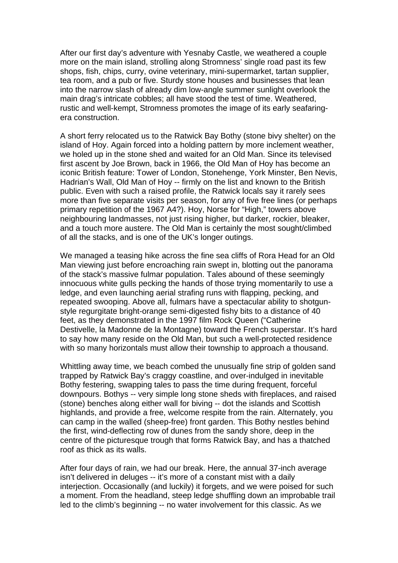After our first day's adventure with Yesnaby Castle, we weathered a couple more on the main island, strolling along Stromness' single road past its few shops, fish, chips, curry, ovine veterinary, mini-supermarket, tartan supplier, tea room, and a pub or five. Sturdy stone houses and businesses that lean into the narrow slash of already dim low-angle summer sunlight overlook the main drag's intricate cobbles; all have stood the test of time. Weathered, rustic and well-kempt, Stromness promotes the image of its early seafaringera construction.

A short ferry relocated us to the Ratwick Bay Bothy (stone bivy shelter) on the island of Hoy. Again forced into a holding pattern by more inclement weather, we holed up in the stone shed and waited for an Old Man. Since its televised first ascent by Joe Brown, back in 1966, the Old Man of Hoy has become an iconic British feature: Tower of London, Stonehenge, York Minster, Ben Nevis, Hadrian's Wall, Old Man of Hoy -- firmly on the list and known to the British public. Even with such a raised profile, the Ratwick locals say it rarely sees more than five separate visits per season, for any of five free lines (or perhaps primary repetition of the 1967 A4?). Hoy, Norse for "High," towers above neighbouring landmasses, not just rising higher, but darker, rockier, bleaker, and a touch more austere. The Old Man is certainly the most sought/climbed of all the stacks, and is one of the UK's longer outings.

We managed a teasing hike across the fine sea cliffs of Rora Head for an Old Man viewing just before encroaching rain swept in, blotting out the panorama of the stack's massive fulmar population. Tales abound of these seemingly innocuous white gulls pecking the hands of those trying momentarily to use a ledge, and even launching aerial strafing runs with flapping, pecking, and repeated swooping. Above all, fulmars have a spectacular ability to shotgunstyle regurgitate bright-orange semi-digested fishy bits to a distance of 40 feet, as they demonstrated in the 1997 film Rock Queen ("Catherine Destivelle, la Madonne de la Montagne) toward the French superstar. It's hard to say how many reside on the Old Man, but such a well-protected residence with so many horizontals must allow their township to approach a thousand.

Whittling away time, we beach combed the unusually fine strip of golden sand trapped by Ratwick Bay's craggy coastline, and over-indulged in inevitable Bothy festering, swapping tales to pass the time during frequent, forceful downpours. Bothys -- very simple long stone sheds with fireplaces, and raised (stone) benches along either wall for biving -- dot the islands and Scottish highlands, and provide a free, welcome respite from the rain. Alternately, you can camp in the walled (sheep-free) front garden. This Bothy nestles behind the first, wind-deflecting row of dunes from the sandy shore, deep in the centre of the picturesque trough that forms Ratwick Bay, and has a thatched roof as thick as its walls.

After four days of rain, we had our break. Here, the annual 37-inch average isn't delivered in deluges -- it's more of a constant mist with a daily interjection. Occasionally (and luckily) it forgets, and we were poised for such a moment. From the headland, steep ledge shuffling down an improbable trail led to the climb's beginning -- no water involvement for this classic. As we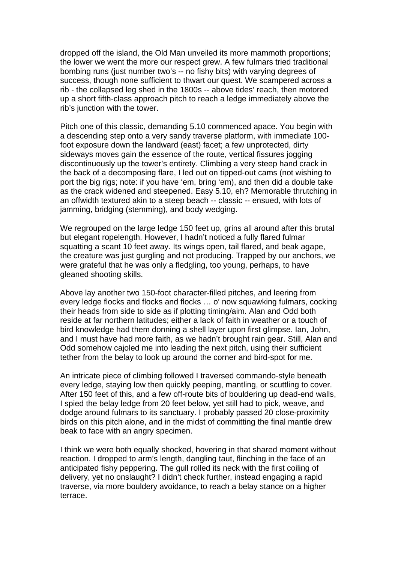dropped off the island, the Old Man unveiled its more mammoth proportions; the lower we went the more our respect grew. A few fulmars tried traditional bombing runs (just number two's -- no fishy bits) with varying degrees of success, though none sufficient to thwart our quest. We scampered across a rib - the collapsed leg shed in the 1800s -- above tides' reach, then motored up a short fifth-class approach pitch to reach a ledge immediately above the rib's junction with the tower.

Pitch one of this classic, demanding 5.10 commenced apace. You begin with a descending step onto a very sandy traverse platform, with immediate 100 foot exposure down the landward (east) facet; a few unprotected, dirty sideways moves gain the essence of the route, vertical fissures jogging discontinuously up the tower's entirety. Climbing a very steep hand crack in the back of a decomposing flare, I led out on tipped-out cams (not wishing to port the big rigs; note: if you have 'em, bring 'em), and then did a double take as the crack widened and steepened. Easy 5.10, eh? Memorable thrutching in an offwidth textured akin to a steep beach -- classic -- ensued, with lots of jamming, bridging (stemming), and body wedging.

We regrouped on the large ledge 150 feet up, grins all around after this brutal but elegant ropelength. However, I hadn't noticed a fully flared fulmar squatting a scant 10 feet away. Its wings open, tail flared, and beak agape, the creature was just gurgling and not producing. Trapped by our anchors, we were grateful that he was only a fledgling, too young, perhaps, to have gleaned shooting skills.

Above lay another two 150-foot character-filled pitches, and leering from every ledge flocks and flocks and flocks … o' now squawking fulmars, cocking their heads from side to side as if plotting timing/aim. Alan and Odd both reside at far northern latitudes; either a lack of faith in weather or a touch of bird knowledge had them donning a shell layer upon first glimpse. Ian, John, and I must have had more faith, as we hadn't brought rain gear. Still, Alan and Odd somehow cajoled me into leading the next pitch, using their sufficient tether from the belay to look up around the corner and bird-spot for me.

An intricate piece of climbing followed I traversed commando-style beneath every ledge, staying low then quickly peeping, mantling, or scuttling to cover. After 150 feet of this, and a few off-route bits of bouldering up dead-end walls, I spied the belay ledge from 20 feet below, yet still had to pick, weave, and dodge around fulmars to its sanctuary. I probably passed 20 close-proximity birds on this pitch alone, and in the midst of committing the final mantle drew beak to face with an angry specimen.

I think we were both equally shocked, hovering in that shared moment without reaction. I dropped to arm's length, dangling taut, flinching in the face of an anticipated fishy peppering. The gull rolled its neck with the first coiling of delivery, yet no onslaught? I didn't check further, instead engaging a rapid traverse, via more bouldery avoidance, to reach a belay stance on a higher terrace.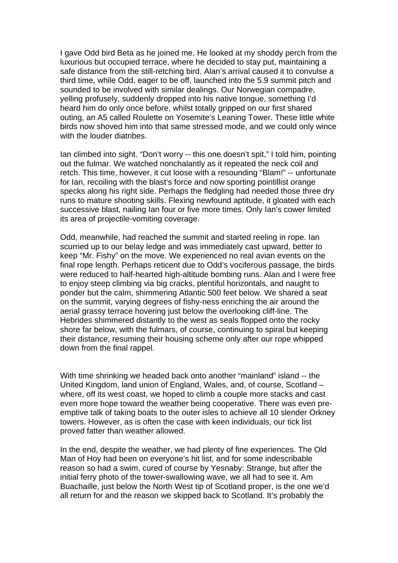I gave Odd bird Beta as he joined me. He looked at my shoddy perch from the luxurious but occupied terrace, where he decided to stay put, maintaining a safe distance from the still-retching bird. Alan's arrival caused it to convulse a third time, while Odd, eager to be off, launched into the 5.9 summit pitch and sounded to be involved with similar dealings. Our Norwegian compadre, yelling profusely, suddenly dropped into his native tongue, something I'd heard him do only once before, whilst totally gripped on our first shared outing, an A5 called Roulette on Yosemite's Leaning Tower. These little white birds now shoved him into that same stressed mode, and we could only wince with the louder diatribes.

Ian climbed into sight. "Don't worry -- this one doesn't spit," I told him, pointing out the fulmar. We watched nonchalantly as it repeated the neck coil and retch. This time, however, it cut loose with a resounding "Blam!" -- unfortunate for Ian, recoiling with the blast's force and now sporting pointillist orange specks along his right side. Perhaps the fledgling had needed those three dry runs to mature shooting skills. Flexing newfound aptitude, it gloated with each successive blast, nailing Ian four or five more times. Only Ian's cower limited its area of projectile-vomiting coverage.

Odd, meanwhile, had reached the summit and started reeling in rope. Ian scurried up to our belay ledge and was immediately cast upward, better to keep "Mr. Fishy" on the move. We experienced no real avian events on the final rope length. Perhaps reticent due to Odd's vociferous passage, the birds were reduced to half-hearted high-altitude bombing runs. Alan and I were free to enjoy steep climbing via big cracks, plentiful horizontals, and naught to ponder but the calm, shimmering Atlantic 500 feet below. We shared a seat on the summit, varying degrees of fishy-ness enriching the air around the aerial grassy terrace hovering just below the overlooking cliff-line. The Hebrides shimmered distantly to the west as seals flopped onto the rocky shore far below, with the fulmars, of course, continuing to spiral but keeping their distance, resuming their housing scheme only after our rope whipped down from the final rappel.

With time shrinking we headed back onto another "mainland" island -- the United Kingdom, land union of England, Wales, and, of course, Scotland – where, off its west coast, we hoped to climb a couple more stacks and cast even more hope toward the weather being cooperative. There was even preemptive talk of taking boats to the outer isles to achieve all 10 slender Orkney towers. However, as is often the case with keen individuals, our tick list proved fatter than weather allowed.

In the end, despite the weather, we had plenty of fine experiences. The Old Man of Hoy had been on everyone's hit list, and for some indescribable reason so had a swim, cured of course by Yesnaby: Strange, but after the initial ferry photo of the tower-swallowing wave, we all had to see it. Am Buachaille, just below the North West tip of Scotland proper, is the one we'd all return for and the reason we skipped back to Scotland. It's probably the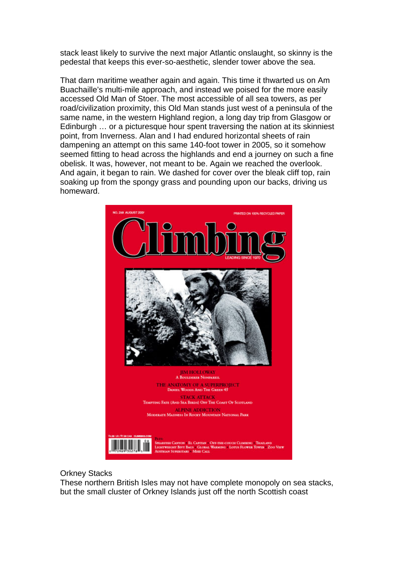stack least likely to survive the next major Atlantic onslaught, so skinny is the pedestal that keeps this ever-so-aesthetic, slender tower above the sea.

That darn maritime weather again and again. This time it thwarted us on Am Buachaille's multi-mile approach, and instead we poised for the more easily accessed Old Man of Stoer. The most accessible of all sea towers, as per road/civilization proximity, this Old Man stands just west of a peninsula of the same name, in the western Highland region, a long day trip from Glasgow or Edinburgh … or a picturesque hour spent traversing the nation at its skinniest point, from Inverness. Alan and I had endured horizontal sheets of rain dampening an attempt on this same 140-foot tower in 2005, so it somehow seemed fitting to head across the highlands and end a journey on such a fine obelisk. It was, however, not meant to be. Again we reached the overlook. And again, it began to rain. We dashed for cover over the bleak cliff top, rain soaking up from the spongy grass and pounding upon our backs, driving us homeward.



## Orkney Stacks

These northern British Isles may not have complete monopoly on sea stacks, but the small cluster of Orkney Islands just off the north Scottish coast